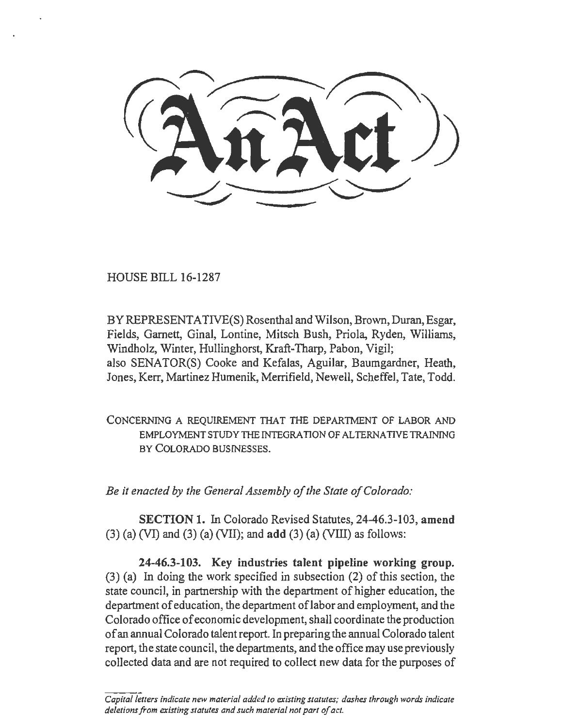HOUSE BILL 16-1287

BY REPRESENTATIVE(S) Rosenthal and Wilson, Brown, Duran, Esgar, Fields, Garnett, Ginal, Lontine, Mitsch Bush, Priola, Ryden, Williams, Windholz, Winter, Hullinghorst, Kraft-Tharp, Pabon, Vigil; also SENATOR(S) Cooke and Kefalas, Aguilar, Baumgardner, Heath, Jones, Kerr, Martinez Humenik, Merrifield, Newell, Scheffel, Tate, Todd.

CONCERNING A REQUIREMENT THAT THE DEPARTMENT OF LABOR AND EMPLOYMENT STUDY THE INTEGRATION OF ALTERNATIVE TRAINING BY COLORADO BUSINESSES.

*Be it enacted by the General Assembly of the State of Colorado:* 

SECTION 1. In Colorado Revised Statutes, 24-46.3-103, amend  $(3)$  (a) (VI) and  $(3)$  (a) (VII); and add  $(3)$  (a) (VIII) as follows:

24-46.3-103. Key industries talent pipeline working group.  $(3)$  (a) In doing the work specified in subsection (2) of this section, the state council, in partnership with the department of higher education, the department of education, the department oflabor and employment, and the Colorado office of economic development, shall coordinate the production of an annual Colorado talent report. In preparing the annual Colorado talent report, the state council, the departments, and the office may use previously collected data and are not required to collect new data for the purposes of

*Capita/letters indicate new material added to existing statutes; dashes through words indicate deletions from existing statutes and such material not part of act.*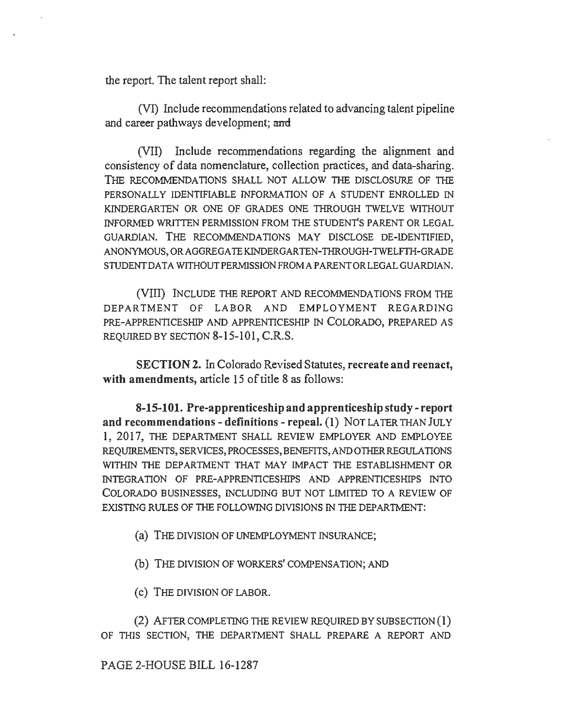the report. The talent report shall:

(VI) Include recommendations related to advancing talent pipeline and career pathways development; and

(VII) Include recommendations regarding the alignment and consistency of data nomenclature, collection practices, and data-sharing. THE RECOMMENDATIONS SHALL NOT ALLOW THE DISCLOSURE OF TilE PERSONALLY IDENTIFIABLE INFORMATION OF A STUDENT ENROLLED IN KINDERGARTEN OR ONE OF GRADES ONE THROUGH TWELVE WITHOUT INFORMED WRITTEN PERM1SSION FROM THE STUDENT'S PARENT OR LEGAL GUARDIAN. THE RECOMMENDATIONS MAY DISCLOSE DE-IDENTIFIED, ANONYMOUS, ORAGGREGA TEKINDERGARTEN-THROUGH-TWELFTH-GRADE STUDENT DATA WITHOUT PERMISSION FROM A PARENT OR LEGAL GUARDIAN.

(VIII) INCLUDE THE REPORT AND RECOMMENDATIONS FROM THE DEPARTMENT OF LABOR AND EMPLOYMENT REGARDING PRE-APPRENTICESHIP AND APPRENTICESHIP IN COLORADO, PREPARED AS REQUIRED BY SECTION 8-15-101, C.R.S.

SECTION 2. In Colorado Revised Statutes, recreate and reenact, with amendments, article 15 of title 8 as follows:

8-15-101. Pre-apprenticeship and apprenticeship study-report and recommendations - definitions - repeal. (1) NOT LATER THAN JULY 1, 2017, TilE DEPARTMENT SHALL REVIEW EMPLOYER AND EMPLOYEE REQUIREMENTS, SERVICES, PROCESSES, BENEFITS, AND OTHER REGULATIONS WITHIN THE DEPARTMENT THAT MAY IMPACT THE ESTABLISHMENT OR INTEGRATION OF PRE-APPRENTICESHIPS AND APPRENTICESHIPS INTO COLORADO BUSINESSES, INCLUDING BUT NOT LIMITED TO A REVIEW OF EXISTING RULES OF TilE FOLLOWING DIVISIONS IN THE DEPARTMENT:

- (a) THE DIVISION OF UNEMPLOYMENT INSURANCE;
- (b) THE DIVISION OF WORKERS' COMPENSATION; AND
- (c) THE DIVISION OF LABOR.

(2) AFTER COMPLETING THE REVIEW REQUIRED BY SUBSECTION  $(1)$ OF THIS SECTION, THE DEPARTMENT SHALL PREPARE A REPORT AND

## PAGE 2-HOUSE BILL 16-1287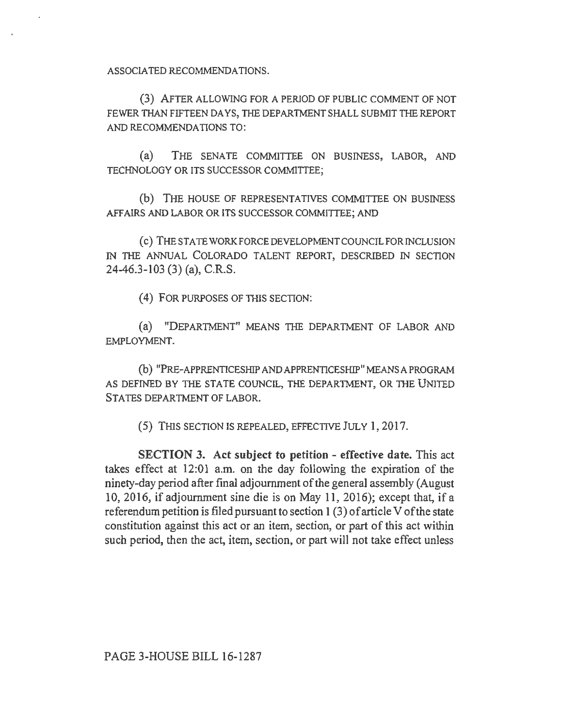ASSOCIATED RECOMMENDATIONS.

(3) AFTER ALLOWING FOR A PERIOD OF PUBLIC COMMENT OF NOT FEWER THAN FIFTEEN DAYS, THE DEPARTMENT SHALL SUBMIT THE REPORT AND RECOMMENDATIONS TO:

(a) THE SENATE COMMITTEE ON BUSINESS, LABOR, AND TECHNOLOGY OR ITS SUCCESSOR COMMITTEE;

(b) THE HOUSE OF REPRESENTATNES COMMITTEE ON BUSINESS AFFAIRS AND LABOR OR ITS SUCCESSOR COMMITTEE; AND

(c) THE STATE WORKFORCE DEVELOPMENT COUNCIL FOR INCLUSION IN THE ANNUAL COLORADO TALENT REPORT, DESCRIBED IN SECTION 24-46.3-103 (3) (a), C.R.S.

(4) FOR PURPOSES OF TIIIS SECTION:

(a) "DEPARTMENT" MEANS THE DEPARTMENT OF LABOR AND EMPLOYMENT.

(b) "PRE-APPRENTICESHIP AND APPRENTICESHIP" MEANS A PROGRAM AS DEFINED BY THE STATE COUNCIL, THE DEPARTMENT, OR TIIE UNITED STATES DEPARTMENT OF LABOR.

(5) THIS SECTION IS REPEALED, EFFECTIVE JULY 1, 2017.

SECTION 3. Act subject to petition- effective date. This act takes effect at 12:01 a.m. on the day following the expiration of the ninety-day period after final adjournment of the general assembly (August 10, 2016, if adjournment sine die is on May 11, 2016); except that, if a referendum petition is filed pursuant to section 1 (3) of article V of the state constitution against this act or an item, section, or part of this act within such period, then the act, item, section, or part will not take effect unless